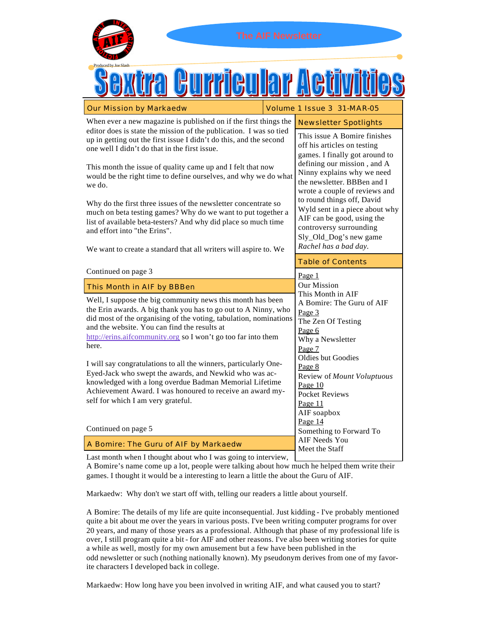

Table of Contents This Month in AIF by BBBen A Bomire: The Guru of AIF by Markaedw Well, I suppose the big community news this month has been the Erin awards. A big thank you has to go out to A Ninny, who did most of the organising of the voting, tabulation, nominations and the website. You can find the results at <http://erins.aifcommunity.org> so I won't go too far into them here. I will say congratulations to all the winners, particularly One-Eyed-Jack who swept the awards, and Newkid who was acknowledged with a long overdue Badman Memorial Lifetime Achievement Award. I was honoured to receive an award myself for which I am very grateful. [Continued on page 5](#page-4-0) [Continued on page 3](#page-2-0) Page 1 Our Mission This Month in AIF A Bomire: The Guru of AIF Page 3 The Zen Of Testing Page 6 Why a Newsletter Page 7 Oldies but Goodies Page 8 Review of *Mount Voluptuous* Page 10 Pocket Reviews Page 11 AIF soapbox Page 14 Something to Forward To AIF Needs You Meet the Staff When ever a new magazine is published on if the first things the editor does is state the mission of the publication. I was so tied up in getting out the first issue I didn't do this, and the second one well I didn't do that in the first issue. This month the issue of quality came up and I felt that now would be the right time to define ourselves, and why we do what we do. Why do the first three issues of the newsletter concentrate so much on beta testing games? Why do we want to put together a list of available beta-testers? And why did place so much time and effort into "the Erins". We want to create a standard that all writers will aspire to. We This issue A Bomire finishes off his articles on testing games. I finally got around to defining our mission , and A Ninny explains why we need the newsletter. BBBen and I wrote a couple of reviews and to round things off, David Wyld sent in a piece about why AIF can be good, using the controversy surrounding Sly\_Old\_Dog's new game *Rachel has a bad day.* Newsletter Spotlights

Last month when I thought about who I was going to interview,

A Bomire's name come up a lot, people were talking about how much he helped them write their games. I thought it would be a interesting to learn a little the about the Guru of AIF.

Markaedw: Why don't we start off with, telling our readers a little about yourself.

A Bomire: The details of my life are quite inconsequential. Just kidding - I've probably mentioned quite a bit about me over the years in various posts. I've been writing computer programs for over 20 years, and many of those years as a professional. Although that phase of my professional life is over, I still program quite a bit - for AIF and other reasons. I've also been writing stories for quite a while as well, mostly for my own amusement but a few have been published in the odd newsletter or such (nothing nationally known). My pseudonym derives from one of my favorite characters I developed back in college.

Markaedw: How long have you been involved in writing AIF, and what caused you to start?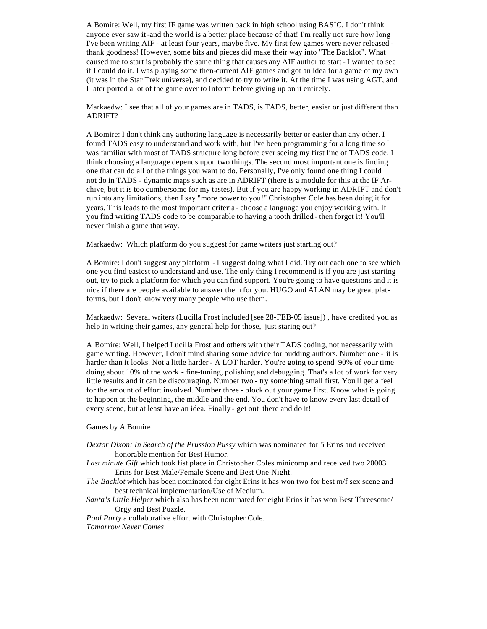A Bomire: Well, my first IF game was written back in high school using BASIC. I don't think anyone ever saw it -and the world is a better place because of that! I'm really not sure how long I've been writing AIF - at least four years, maybe five. My first few games were never released thank goodness! However, some bits and pieces did make their way into "The Backlot". What caused me to start is probably the same thing that causes any AIF author to start - I wanted to see if I could do it. I was playing some then-current AIF games and got an idea for a game of my own (it was in the Star Trek universe), and decided to try to write it. At the time I was using AGT, and I later ported a lot of the game over to Inform before giving up on it entirely.

Markaedw: I see that all of your games are in TADS, is TADS, better, easier or just different than ADRIFT?

A Bomire: I don't think any authoring language is necessarily better or easier than any other. I found TADS easy to understand and work with, but I've been programming for a long time so I was familiar with most of TADS structure long before ever seeing my first line of TADS code. I think choosing a language depends upon two things. The second most important one is finding one that can do all of the things you want to do. Personally, I've only found one thing I could not do in TADS - dynamic maps such as are in ADRIFT (there is a module for this at the IF Archive, but it is too cumbersome for my tastes). But if you are happy working in ADRIFT and don't run into any limitations, then I say "more power to you!" Christopher Cole has been doing it for years. This leads to the most important criteria - choose a language you enjoy working with. If you find writing TADS code to be comparable to having a tooth drilled - then forget it! You'll never finish a game that way.

Markaedw: Which platform do you suggest for game writers just starting out?

A Bomire: I don't suggest any platform - I suggest doing what I did. Try out each one to see which one you find easiest to understand and use. The only thing I recommend is if you are just starting out, try to pick a platform for which you can find support. You're going to have questions and it is nice if there are people available to answer them for you. HUGO and ALAN may be great platforms, but I don't know very many people who use them.

Markaedw: Several writers (Lucilla Frost included [see 28-FEB-05 issue]) , have credited you as help in writing their games, any general help for those, just staring out?

A Bomire: Well, I helped Lucilla Frost and others with their TADS coding, not necessarily with game writing. However, I don't mind sharing some advice for budding authors. Number one - it is harder than it looks. Not a little harder - A LOT harder. You're going to spend 90% of your time doing about 10% of the work - fine-tuning, polishing and debugging. That's a lot of work for very little results and it can be discouraging. Number two - try something small first. You'll get a feel for the amount of effort involved. Number three - block out your game first. Know what is going to happen at the beginning, the middle and the end. You don't have to know every last detail of every scene, but at least have an idea. Finally - get out there and do it!

Games by A Bomire

- *Dextor Dixon: In Search of the Prussion Pussy* which was nominated for 5 Erins and received honorable mention for Best Humor.
- *Last minute Gift* which took fist place in Christopher Coles minicomp and received two 20003 Erins for Best Male/Female Scene and Best One-Night.
- *The Backlot* which has been nominated for eight Erins it has won two for best m/f sex scene and best technical implementation/Use of Medium.
- *Santa's Little Helper* which also has been nominated for eight Erins it has won Best Threesome/ Orgy and Best Puzzle.

*Pool Party* a collaborative effort with Christopher Cole.

*Tomorrow Never Comes*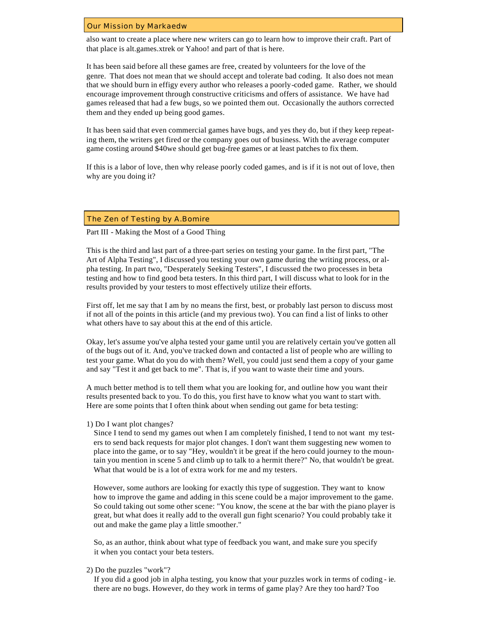#### <span id="page-2-0"></span>Our Mission by Markaedw

also want to create a place where new writers can go to learn how to improve their craft. Part of that place is alt.games.xtrek or Yahoo! and part of that is here.

It has been said before all these games are free, created by volunteers for the love of the genre. That does not mean that we should accept and tolerate bad coding. It also does not mean that we should burn in effigy every author who releases a poorly-coded game. Rather, we should encourage improvement through constructive criticisms and offers of assistance. We have had games released that had a few bugs, so we pointed them out. Occasionally the authors corrected them and they ended up being good games.

It has been said that even commercial games have bugs, and yes they do, but if they keep repeating them, the writers get fired or the company goes out of business. With the average computer game costing around \$40we should get bug-free games or at least patches to fix them.

If this is a labor of love, then why release poorly coded games, and is if it is not out of love, then why are you doing it?

#### The Zen of Testing by A.Bomire

## Part III - Making the Most of a Good Thing

This is the third and last part of a three-part series on testing your game. In the first part, "The Art of Alpha Testing", I discussed you testing your own game during the writing process, or alpha testing. In part two, "Desperately Seeking Testers", I discussed the two processes in beta testing and how to find good beta testers. In this third part, I will discuss what to look for in the results provided by your testers to most effectively utilize their efforts.

First off, let me say that I am by no means the first, best, or probably last person to discuss most if not all of the points in this article (and my previous two). You can find a list of links to other what others have to say about this at the end of this article.

Okay, let's assume you've alpha tested your game until you are relatively certain you've gotten all of the bugs out of it. And, you've tracked down and contacted a list of people who are willing to test your game. What do you do with them? Well, you could just send them a copy of your game and say "Test it and get back to me". That is, if you want to waste their time and yours.

A much better method is to tell them what you are looking for, and outline how you want their results presented back to you. To do this, you first have to know what you want to start with. Here are some points that I often think about when sending out game for beta testing:

#### 1) Do I want plot changes?

 Since I tend to send my games out when I am completely finished, I tend to not want my testers to send back requests for major plot changes. I don't want them suggesting new women to place into the game, or to say "Hey, wouldn't it be great if the hero could journey to the mountain you mention in scene 5 and climb up to talk to a hermit there?" No, that wouldn't be great. What that would be is a lot of extra work for me and my testers.

However, some authors are looking for exactly this type of suggestion. They want to know how to improve the game and adding in this scene could be a major improvement to the game. So could taking out some other scene: "You know, the scene at the bar with the piano player is great, but what does it really add to the overall gun fight scenario? You could probably take it out and make the game play a little smoother."

 So, as an author, think about what type of feedback you want, and make sure you specify it when you contact your beta testers.

2) Do the puzzles "work"?

 If you did a good job in alpha testing, you know that your puzzles work in terms of coding - ie. there are no bugs. However, do they work in terms of game play? Are they too hard? Too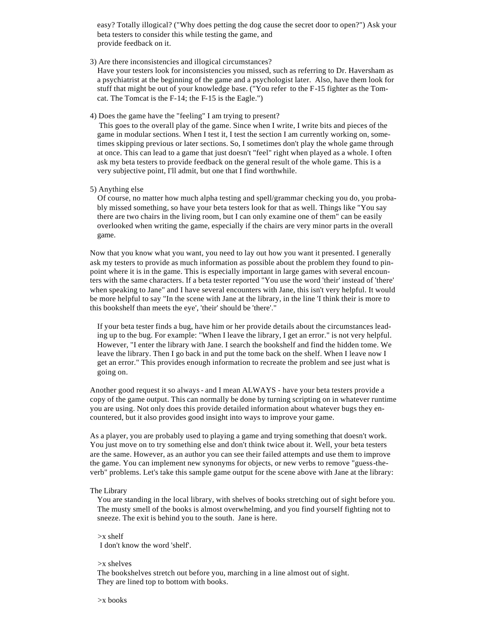easy? Totally illogical? ("Why does petting the dog cause the secret door to open?") Ask your beta testers to consider this while testing the game, and provide feedback on it.

3) Are there inconsistencies and illogical circumstances?

 Have your testers look for inconsistencies you missed, such as referring to Dr. Haversham as a psychiatrist at the beginning of the game and a psychologist later. Also, have them look for stuff that might be out of your knowledge base. ("You refer to the F-15 fighter as the Tomcat. The Tomcat is the F-14; the F-15 is the Eagle.")

4) Does the game have the "feeling" I am trying to present?

 This goes to the overall play of the game. Since when I write, I write bits and pieces of the game in modular sections. When I test it, I test the section I am currently working on, sometimes skipping previous or later sections. So, I sometimes don't play the whole game through at once. This can lead to a game that just doesn't "feel" right when played as a whole. I often ask my beta testers to provide feedback on the general result of the whole game. This is a very subjective point, I'll admit, but one that I find worthwhile.

5) Anything else

 Of course, no matter how much alpha testing and spell/grammar checking you do, you probably missed something, so have your beta testers look for that as well. Things like "You say there are two chairs in the living room, but I can only examine one of them" can be easily overlooked when writing the game, especially if the chairs are very minor parts in the overall game.

Now that you know what you want, you need to lay out how you want it presented. I generally ask my testers to provide as much information as possible about the problem they found to pinpoint where it is in the game. This is especially important in large games with several encounters with the same characters. If a beta tester reported "You use the word 'their' instead of 'there' when speaking to Jane" and I have several encounters with Jane, this isn't very helpful. It would be more helpful to say "In the scene with Jane at the library, in the line 'I think their is more to this bookshelf than meets the eye', 'their' should be 'there'."

If your beta tester finds a bug, have him or her provide details about the circumstances leading up to the bug. For example: "When I leave the library, I get an error." is not very helpful. However, "I enter the library with Jane. I search the bookshelf and find the hidden tome. We leave the library. Then I go back in and put the tome back on the shelf. When I leave now I get an error." This provides enough information to recreate the problem and see just what is going on.

Another good request it so always - and I mean ALWAYS - have your beta testers provide a copy of the game output. This can normally be done by turning scripting on in whatever runtime you are using. Not only does this provide detailed information about whatever bugs they encountered, but it also provides good insight into ways to improve your game.

As a player, you are probably used to playing a game and trying something that doesn't work. You just move on to try something else and don't think twice about it. Well, your beta testers are the same. However, as an author you can see their failed attempts and use them to improve the game. You can implement new synonyms for objects, or new verbs to remove "guess-theverb" problems. Let's take this sample game output for the scene above with Jane at the library:

# The Library

You are standing in the local library, with shelves of books stretching out of sight before you. The musty smell of the books is almost overwhelming, and you find yourself fighting not to sneeze. The exit is behind you to the south. Jane is here.

 >x shelf I don't know the word 'shelf'.

>x shelves

 The bookshelves stretch out before you, marching in a line almost out of sight. They are lined top to bottom with books.

>x books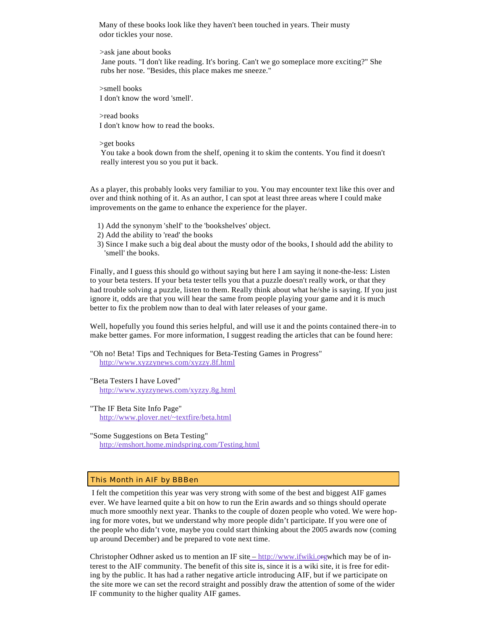<span id="page-4-0"></span> Many of these books look like they haven't been touched in years. Their musty odor tickles your nose.

>ask jane about books

 Jane pouts. "I don't like reading. It's boring. Can't we go someplace more exciting?" She rubs her nose. "Besides, this place makes me sneeze."

 >smell books I don't know the word 'smell'.

 >read books I don't know how to read the books.

>get books

You take a book down from the shelf, opening it to skim the contents. You find it doesn't really interest you so you put it back.

As a player, this probably looks very familiar to you. You may encounter text like this over and over and think nothing of it. As an author, I can spot at least three areas where I could make improvements on the game to enhance the experience for the player.

- 1) Add the synonym 'shelf' to the 'bookshelves' object.
- 2) Add the ability to 'read' the books
- 3) Since I make such a big deal about the musty odor of the books, I should add the ability to 'smell' the books.

Finally, and I guess this should go without saying but here I am saying it none-the-less: Listen to your beta testers. If your beta tester tells you that a puzzle doesn't really work, or that they had trouble solving a puzzle, listen to them. Really think about what he/she is saying. If you just ignore it, odds are that you will hear the same from people playing your game and it is much better to fix the problem now than to deal with later releases of your game.

Well, hopefully you found this series helpful, and will use it and the points contained there-in to make better games. For more information, I suggest reading the articles that can be found here:

"Oh no! Beta! Tips and Techniques for Beta-Testing Games in Progress" <http://www.xyzzynews.com/xyzzy.8f.html>

"Beta Testers I have Loved" <http://www.xyzzynews.com/xyzzy.8g.html>

- "The IF Beta Site Info Page" <http://www.plover.net/~textfire/beta.html>
- "Some Suggestions on Beta Testing" <http://emshort.home.mindspring.com/Testing.html>

# This Month in AIF by BBBen

I felt the competition this year was very strong with some of the best and biggest AIF games ever. We have learned quite a bit on how to run the Erin awards and so things should operate much more smoothly next year. Thanks to the couple of dozen people who voted. We were hoping for more votes, but we understand why more people didn't participate. If you were one of the people who didn't vote, maybe you could start thinking about the 2005 awards now (coming up around December) and be prepared to vote next time.

Christopher Odhner asked us to mention an IF site  $-$  [http://www.ifwiki.o](http://www.ifwiki.org)rgwhich may be of interest to the AIF community. The benefit of this site is, since it is a wiki site, it is free for editing by the public. It has had a rather negative article introducing AIF, but if we participate on the site more we can set the record straight and possibly draw the attention of some of the wider IF community to the higher quality AIF games.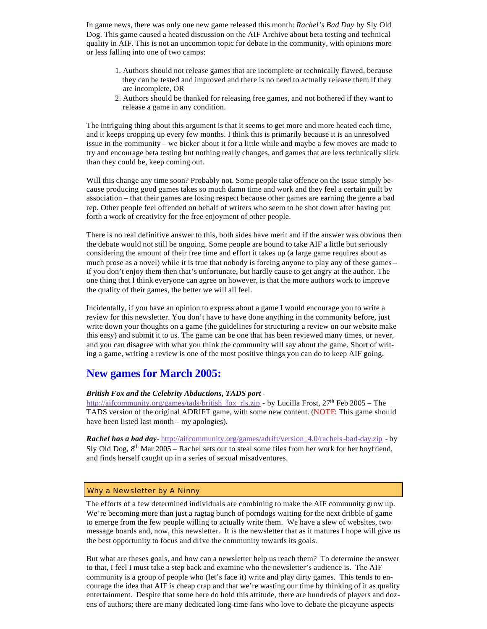In game news, there was only one new game released this month: *Rachel's Bad Day* by Sly Old Dog. This game caused a heated discussion on the AIF Archive about beta testing and technical quality in AIF. This is not an uncommon topic for debate in the community, with opinions more or less falling into one of two camps:

- 1. Authors should not release games that are incomplete or technically flawed, because they can be tested and improved and there is no need to actually release them if they are incomplete, OR
- 2. Authors should be thanked for releasing free games, and not bothered if they want to release a game in any condition.

The intriguing thing about this argument is that it seems to get more and more heated each time, and it keeps cropping up every few months. I think this is primarily because it is an unresolved issue in the community – we bicker about it for a little while and maybe a few moves are made to try and encourage beta testing but nothing really changes, and games that are less technically slick than they could be, keep coming out.

Will this change any time soon? Probably not. Some people take offence on the issue simply because producing good games takes so much damn time and work and they feel a certain guilt by association – that their games are losing respect because other games are earning the genre a bad rep. Other people feel offended on behalf of writers who seem to be shot down after having put forth a work of creativity for the free enjoyment of other people.

There is no real definitive answer to this, both sides have merit and if the answer was obvious then the debate would not still be ongoing. Some people are bound to take AIF a little but seriously considering the amount of their free time and effort it takes up (a large game requires about as much prose as a novel) while it is true that nobody is forcing anyone to play any of these games – if you don't enjoy them then that's unfortunate, but hardly cause to get angry at the author. The one thing that I think everyone can agree on however, is that the more authors work to improve the quality of their games, the better we will all feel.

Incidentally, if you have an opinion to express about a game I would encourage you to write a review for this newsletter. You don't have to have done anything in the community before, just write down your thoughts on a game (the guidelines for structuring a review on our website make this easy) and submit it to us. The game can be one that has been reviewed many times, or never, and you can disagree with what you think the community will say about the game. Short of writing a game, writing a review is one of the most positive things you can do to keep AIF going.

# **New games for March 2005:**

# *British Fox and the Celebrity Abductions, TADS port* -

[http://aifcommunity.org/games/tads/british\\_fox\\_rls.zip](http://aifcommunity.org/games/tads/british_fox_rls.zip) - by Lucilla Frost, 27<sup>th</sup> Feb 2005 – The TADS version of the original ADRIFT game, with some new content. (NOTE: This game should have been listed last month – my apologies).

*Rachel has a bad day*- [http://aifcommunity.org/games/adrift/version\\_4.0/rachels](http://aifcommunity.org/games/adrift/version_4.0/rachels)-bad-day.zip - by Sly Old Dog,  $8<sup>th</sup>$  Mar 2005 – Rachel sets out to steal some files from her work for her boyfriend, and finds herself caught up in a series of sexual misadventures.

# Why a Newsletter by A Ninny

The efforts of a few determined individuals are combining to make the AIF community grow up. We're becoming more than just a ragtag bunch of porndogs waiting for the next dribble of game to emerge from the few people willing to actually write them. We have a slew of websites, two message boards and, now, this newsletter. It is the newsletter that as it matures I hope will give us the best opportunity to focus and drive the community towards its goals.

But what are theses goals, and how can a newsletter help us reach them? To determine the answer to that, I feel I must take a step back and examine who the newsletter's audience is. The AIF community is a group of people who (let's face it) write and play dirty games. This tends to encourage the idea that AIF is cheap crap and that we're wasting our time by thinking of it as quality entertainment. Despite that some here do hold this attitude, there are hundreds of players and dozens of authors; there are many dedicated long-time fans who love to debate the picayune aspects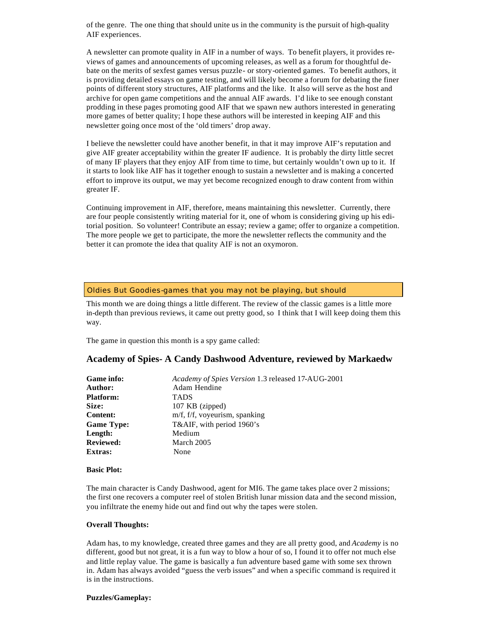of the genre. The one thing that should unite us in the community is the pursuit of high-quality AIF experiences.

A newsletter can promote quality in AIF in a number of ways. To benefit players, it provides reviews of games and announcements of upcoming releases, as well as a forum for thoughtful debate on the merits of sexfest games versus puzzle- or story-oriented games. To benefit authors, it is providing detailed essays on game testing, and will likely become a forum for debating the finer points of different story structures, AIF platforms and the like. It also will serve as the host and archive for open game competitions and the annual AIF awards. I'd like to see enough constant prodding in these pages promoting good AIF that we spawn new authors interested in generating more games of better quality; I hope these authors will be interested in keeping AIF and this newsletter going once most of the 'old timers' drop away.

I believe the newsletter could have another benefit, in that it may improve AIF's reputation and give AIF greater acceptability within the greater IF audience. It is probably the dirty little secret of many IF players that they enjoy AIF from time to time, but certainly wouldn't own up to it. If it starts to look like AIF has it together enough to sustain a newsletter and is making a concerted effort to improve its output, we may yet become recognized enough to draw content from within greater IF.

Continuing improvement in AIF, therefore, means maintaining this newsletter. Currently, there are four people consistently writing material for it, one of whom is considering giving up his editorial position. So volunteer! Contribute an essay; review a game; offer to organize a competition. The more people we get to participate, the more the newsletter reflects the community and the better it can promote the idea that quality AIF is not an oxymoron.

# Oldies But Goodies-games that you may not be playing, but should

This month we are doing things a little different. The review of the classic games is a little more in-depth than previous reviews, it came out pretty good, so I think that I will keep doing them this way.

The game in question this month is a spy game called:

# **Academy of Spies- A Candy Dashwood Adventure, reviewed by Markaedw**

| Game info:        | Academy of Spies Version 1.3 released 17-AUG-2001 |
|-------------------|---------------------------------------------------|
| Author:           | Adam Hendine                                      |
| <b>Platform:</b>  | <b>TADS</b>                                       |
| Size:             | 107 KB (zipped)                                   |
| <b>Content:</b>   | m/f, f/f, voyeurism, spanking                     |
| <b>Game Type:</b> | T&AIF, with period 1960's                         |
| Length:           | Medium                                            |
| <b>Reviewed:</b>  | March 2005                                        |
| <b>Extras:</b>    | None                                              |
|                   |                                                   |

#### **Basic Plot:**

The main character is Candy Dashwood, agent for MI6. The game takes place over 2 missions; the first one recovers a computer reel of stolen British lunar mission data and the second mission, you infiltrate the enemy hide out and find out why the tapes were stolen.

#### **Overall Thoughts:**

Adam has, to my knowledge, created three games and they are all pretty good, and *Academy* is no different, good but not great, it is a fun way to blow a hour of so, I found it to offer not much else and little replay value. The game is basically a fun adventure based game with some sex thrown in. Adam has always avoided "guess the verb issues" and when a specific command is required it is in the instructions.

### **Puzzles/Gameplay:**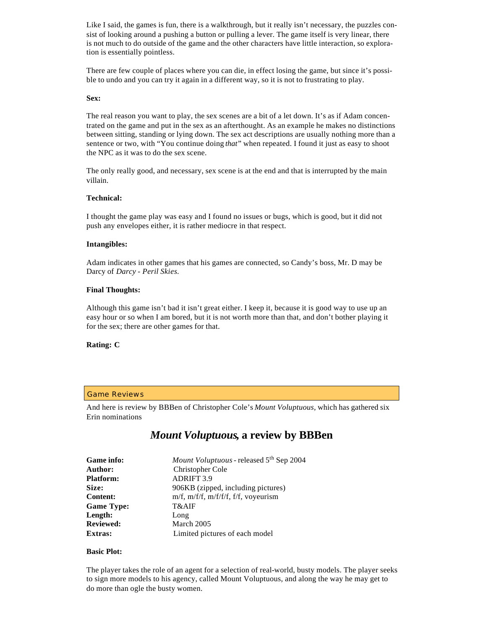Like I said, the games is fun, there is a walkthrough, but it really isn't necessary, the puzzles consist of looking around a pushing a button or pulling a lever. The game itself is very linear, there is not much to do outside of the game and the other characters have little interaction, so exploration is essentially pointless.

There are few couple of places where you can die, in effect losing the game, but since it's possible to undo and you can try it again in a different way, so it is not to frustrating to play.

#### **Sex:**

The real reason you want to play, the sex scenes are a bit of a let down. It's as if Adam concentrated on the game and put in the sex as an afterthought. As an example he makes no distinctions between sitting, standing or lying down. The sex act descriptions are usually nothing more than a sentence or two, with "You continue doing *that*" when repeated. I found it just as easy to shoot the NPC as it was to do the sex scene.

The only really good, and necessary, sex scene is at the end and that is interrupted by the main villain.

# **Technical:**

I thought the game play was easy and I found no issues or bugs, which is good, but it did not push any envelopes either, it is rather mediocre in that respect.

# **Intangibles:**

Adam indicates in other games that his games are connected, so Candy's boss, Mr. D may be Darcy of *Darcy - Peril Skies.*

#### **Final Thoughts:**

Although this game isn't bad it isn't great either. I keep it, because it is good way to use up an easy hour or so when I am bored, but it is not worth more than that, and don't bother playing it for the sex; there are other games for that.

# **Rating: C**

#### Game Reviews

And here is review by BBBen of Christopher Cole's *Mount Voluptuous,* which has gathered six Erin nominations

# *Mount Voluptuous***, a review by BBBen**

| Game info:        | Mount Voluptuous - released 5 <sup>th</sup> Sep 2004 |
|-------------------|------------------------------------------------------|
| Author:           | Christopher Cole                                     |
| <b>Platform:</b>  | <b>ADRIFT 3.9</b>                                    |
| Size:             | 906KB (zipped, including pictures)                   |
| <b>Content:</b>   | $m/f$ , $m/f/f$ , $m/f/f/f$ , $f/f$ , voyeurism      |
| <b>Game Type:</b> | T&AIF                                                |
| Length:           | Long                                                 |
| <b>Reviewed:</b>  | March 2005                                           |
| Extras:           | Limited pictures of each model                       |

#### **Basic Plot:**

The player takes the role of an agent for a selection of real-world, busty models. The player seeks to sign more models to his agency, called Mount Voluptuous, and along the way he may get to do more than ogle the busty women.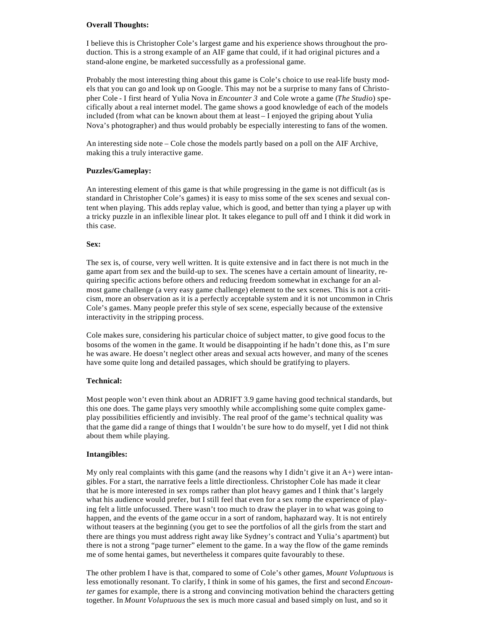# **Overall Thoughts:**

I believe this is Christopher Cole's largest game and his experience shows throughout the production. This is a strong example of an AIF game that could, if it had original pictures and a stand-alone engine, be marketed successfully as a professional game.

Probably the most interesting thing about this game is Cole's choice to use real-life busty models that you can go and look up on Google. This may not be a surprise to many fans of Christopher Cole - I first heard of Yulia Nova in *Encounter 3* and Cole wrote a game (*The Studio*) specifically about a real internet model. The game shows a good knowledge of each of the models included (from what can be known about them at least – I enjoyed the griping about Yulia Nova's photographer) and thus would probably be especially interesting to fans of the women.

An interesting side note – Cole chose the models partly based on a poll on the AIF Archive, making this a truly interactive game.

# **Puzzles/Gameplay:**

An interesting element of this game is that while progressing in the game is not difficult (as is standard in Christopher Cole's games) it is easy to miss some of the sex scenes and sexual content when playing. This adds replay value, which is good, and better than tying a player up with a tricky puzzle in an inflexible linear plot. It takes elegance to pull off and I think it did work in this case.

# **Sex:**

The sex is, of course, very well written. It is quite extensive and in fact there is not much in the game apart from sex and the build-up to sex. The scenes have a certain amount of linearity, requiring specific actions before others and reducing freedom somewhat in exchange for an almost game challenge (a very easy game challenge) element to the sex scenes. This is not a criticism, more an observation as it is a perfectly acceptable system and it is not uncommon in Chris Cole's games. Many people prefer this style of sex scene, especially because of the extensive interactivity in the stripping process.

Cole makes sure, considering his particular choice of subject matter, to give good focus to the bosoms of the women in the game. It would be disappointing if he hadn't done this, as I'm sure he was aware. He doesn't neglect other areas and sexual acts however, and many of the scenes have some quite long and detailed passages, which should be gratifying to players.

# **Technical:**

Most people won't even think about an ADRIFT 3.9 game having good technical standards, but this one does. The game plays very smoothly while accomplishing some quite complex gameplay possibilities efficiently and invisibly. The real proof of the game's technical quality was that the game did a range of things that I wouldn't be sure how to do myself, yet I did not think about them while playing.

# **Intangibles:**

My only real complaints with this game (and the reasons why I didn't give it an  $A+$ ) were intangibles. For a start, the narrative feels a little directionless. Christopher Cole has made it clear that he is more interested in sex romps rather than plot heavy games and I think that's largely what his audience would prefer, but I still feel that even for a sex romp the experience of playing felt a little unfocussed. There wasn't too much to draw the player in to what was going to happen, and the events of the game occur in a sort of random, haphazard way. It is not entirely without teasers at the beginning (you get to see the portfolios of all the girls from the start and there are things you must address right away like Sydney's contract and Yulia's apartment) but there is not a strong "page turner" element to the game. In a way the flow of the game reminds me of some hentai games, but nevertheless it compares quite favourably to these.

The other problem I have is that, compared to some of Cole's other games, *Mount Voluptuous* is less emotionally resonant. To clarify, I think in some of his games, the first and second *Encounter* games for example, there is a strong and convincing motivation behind the characters getting together. In *Mount Voluptuous* the sex is much more casual and based simply on lust, and so it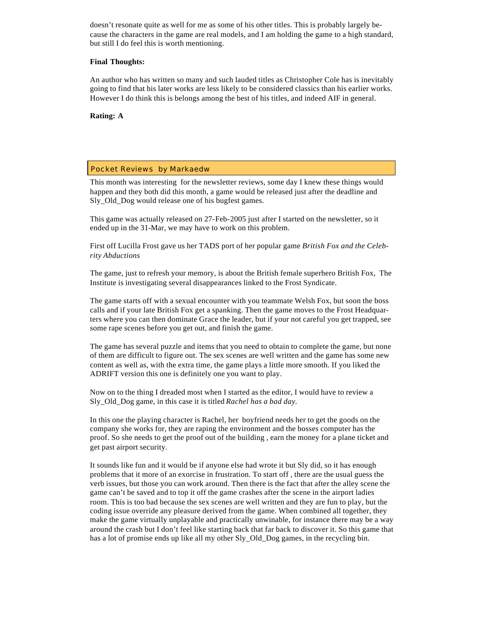doesn't resonate quite as well for me as some of his other titles. This is probably largely because the characters in the game are real models, and I am holding the game to a high standard, but still I do feel this is worth mentioning.

# **Final Thoughts:**

An author who has written so many and such lauded titles as Christopher Cole has is inevitably going to find that his later works are less likely to be considered classics than his earlier works. However I do think this is belongs among the best of his titles, and indeed AIF in general.

**Rating: A**

# Pocket Reviews by Markaedw

This month was interesting for the newsletter reviews, some day I knew these things would happen and they both did this month, a game would be released just after the deadline and Sly\_Old\_Dog would release one of his bugfest games.

This game was actually released on 27-Feb-2005 just after I started on the newsletter, so it ended up in the 31-Mar, we may have to work on this problem.

First off Lucilla Frost gave us her TADS port of her popular game *British Fox and the Celebrity Abductions*

The game, just to refresh your memory, is about the British female superhero British Fox, The Institute is investigating several disappearances linked to the Frost Syndicate.

The game starts off with a sexual encounter with you teammate Welsh Fox, but soon the boss calls and if your late British Fox get a spanking. Then the game moves to the Frost Headquarters where you can then dominate Grace the leader, but if your not careful you get trapped, see some rape scenes before you get out, and finish the game.

The game has several puzzle and items that you need to obtain to complete the game, but none of them are difficult to figure out. The sex scenes are well written and the game has some new content as well as, with the extra time, the game plays a little more smooth. If you liked the ADRIFT version this one is definitely one you want to play.

Now on to the thing I dreaded most when I started as the editor, I would have to review a Sly\_Old\_Dog game, in this case it is titled *Rachel has a bad day.*

In this one the playing character is Rachel, her boyfriend needs her to get the goods on the company she works for, they are raping the environment and the bosses computer has the proof. So she needs to get the proof out of the building , earn the money for a plane ticket and get past airport security.

It sounds like fun and it would be if anyone else had wrote it but Sly did, so it has enough problems that it more of an exorcise in frustration. To start off , there are the usual guess the verb issues, but those you can work around. Then there is the fact that after the alley scene the game can't be saved and to top it off the game crashes after the scene in the airport ladies room. This is too bad because the sex scenes are well written and they are fun to play, but the coding issue override any pleasure derived from the game. When combined all together, they make the game virtually unplayable and practically unwinable, for instance there may be a way around the crash but I don't feel like starting back that far back to discover it. So this game that has a lot of promise ends up like all my other Sly\_Old\_Dog games, in the recycling bin.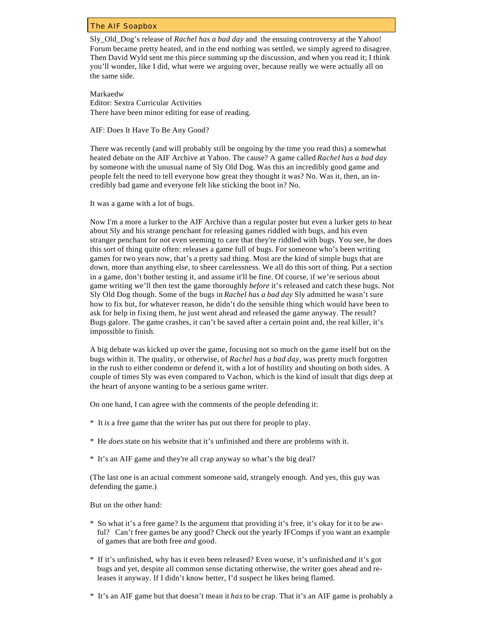### The AIF Soapbox

Sly\_Old\_Dog's release of *Rachel has a bad day* and the ensuing controversy at the Yahoo! Forum became pretty heated, and in the end nothing was settled, we simply agreed to disagree. Then David Wyld sent me this piece summing up the discussion, and when you read it; I think you'll wonder, like I did, what were we arguing over, because really we were actually all on the same side.

Markaedw Editor: Sextra Curricular Activities There have been minor editing for ease of reading.

AIF: Does It Have To Be Any Good?

There was recently (and will probably still be ongoing by the time you read this) a somewhat heated debate on the AIF Archive at Yahoo. The cause? A game called *Rachel has a bad day*  by someone with the unusual name of Sly Old Dog. Was this an incredibly good game and people felt the need to tell everyone how great they thought it was? No. Was it, then, an incredibly bad game and everyone felt like sticking the boot in? No.

It was a game with a lot of bugs.

Now I'm a more a lurker to the AIF Archive than a regular poster but even a lurker gets to hear about Sly and his strange penchant for releasing games riddled with bugs, and his even stranger penchant for not even seeming to care that they're riddled with bugs. You see, he does this sort of thing quite often: releases a game full of bugs. For someone who's been writing games for two years now, that's a pretty sad thing. Most are the kind of simple bugs that are down, more than anything else, to sheer carelessness. We all do this sort of thing. Put a section in a game, don't bother testing it, and assume it'll be fine. Of course, if we're serious about game writing we'll then test the game thoroughly *before* it's released and catch these bugs. Not Sly Old Dog though. Some of the bugs in *Rachel has a bad day* Sly admitted he wasn't sure how to fix but, for whatever reason, he didn't do the sensible thing which would have been to ask for help in fixing them, he just went ahead and released the game anyway. The result? Bugs galore. The game crashes, it can't be saved after a certain point and, the real killer, it's impossible to finish.

A big debate was kicked up over the game, focusing not so much on the game itself but on the bugs within it. The quality, or otherwise, of *Rachel has a bad day*, was pretty much forgotten in the rush to either condemn or defend it, with a lot of hostility and shouting on both sides. A couple of times Sly was even compared to Vachon, which is the kind of insult that digs deep at the heart of anyone wanting to be a serious game writer.

On one hand, I can agree with the comments of the people defending it:

- \* It *is* a free game that the writer has put out there for people to play.
- \* He *does* state on his website that it's unfinished and there are problems with it.
- \* It's an AIF game and they're all crap anyway so what's the big deal?

(The last one is an actual comment someone said, strangely enough. And yes, this guy was defending the game.)

But on the other hand:

- \* So what it's a free game? Is the argument that providing it's free, it's okay for it to be awful? Can't free games be any good? Check out the yearly IFComps if you want an example of games that are both free *and* good.
- \* If it's unfinished, why has it even been released? Even worse, it's unfinished *and* it's got bugs and yet, despite all common sense dictating otherwise, the writer goes ahead and releases it anyway. If I didn't know better, I'd suspect he likes being flamed.
- \* It's an AIF game but that doesn't mean it *has* to be crap. That it's an AIF game is probably a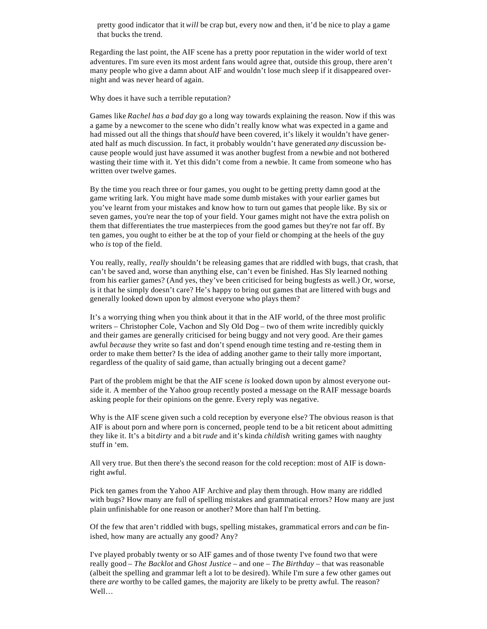pretty good indicator that it *will* be crap but, every now and then, it'd be nice to play a game that bucks the trend.

Regarding the last point, the AIF scene has a pretty poor reputation in the wider world of text adventures. I'm sure even its most ardent fans would agree that, outside this group, there aren't many people who give a damn about AIF and wouldn't lose much sleep if it disappeared overnight and was never heard of again.

Why does it have such a terrible reputation?

Games like *Rachel has a bad day* go a long way towards explaining the reason. Now if this was a game by a newcomer to the scene who didn't really know what was expected in a game and had missed out all the things that *should* have been covered, it's likely it wouldn't have generated half as much discussion. In fact, it probably wouldn't have generated *any* discussion because people would just have assumed it was another bugfest from a newbie and not bothered wasting their time with it. Yet this didn't come from a newbie. It came from someone who has written over twelve games.

By the time you reach three or four games, you ought to be getting pretty damn good at the game writing lark. You might have made some dumb mistakes with your earlier games but you've learnt from your mistakes and know how to turn out games that people like. By six or seven games, you're near the top of your field. Your games might not have the extra polish on them that differentiates the true masterpieces from the good games but they're not far off. By ten games, you ought to either be at the top of your field or chomping at the heels of the guy who *is* top of the field.

You really, *really, really* shouldn't be releasing games that are riddled with bugs, that crash, that can't be saved and, worse than anything else, can't even be finished. Has Sly learned nothing from his earlier games? (And yes, they've been criticised for being bugfests as well.) Or, worse, is it that he simply doesn't care? He's happy to bring out games that are littered with bugs and generally looked down upon by almost everyone who plays them?

It's a worrying thing when you think about it that in the AIF world, of the three most prolific writers – Christopher Cole, Vachon and Sly Old Dog – two of them write incredibly quickly and their games are generally criticised for being buggy and not very good. Are their games awful *because* they write so fast and don't spend enough time testing and re-testing them in order to make them better? Is the idea of adding another game to their tally more important, regardless of the quality of said game, than actually bringing out a decent game?

Part of the problem might be that the AIF scene *is* looked down upon by almost everyone outside it. A member of the Yahoo group recently posted a message on the RAIF message boards asking people for their opinions on the genre. Every reply was negative.

Why is the AIF scene given such a cold reception by everyone else? The obvious reason is that AIF is about porn and where porn is concerned, people tend to be a bit reticent about admitting they like it. It's a bit *dirty* and a bit *rude* and it's kinda *childish* writing games with naughty stuff in 'em.

All very true. But then there's the second reason for the cold reception: most of AIF is downright awful.

Pick ten games from the Yahoo AIF Archive and play them through. How many are riddled with bugs? How many are full of spelling mistakes and grammatical errors? How many are just plain unfinishable for one reason or another? More than half I'm betting.

Of the few that aren't riddled with bugs, spelling mistakes, grammatical errors and *can* be finished, how many are actually any good? Any?

I've played probably twenty or so AIF games and of those twenty I've found two that were really good – *The Backlot* and *Ghost Justice* – and one – *The Birthday* – that was reasonable (albeit the spelling and grammar left a lot to be desired). While I'm sure a few other games out there *are* worthy to be called games, the majority are likely to be pretty awful. The reason? Well…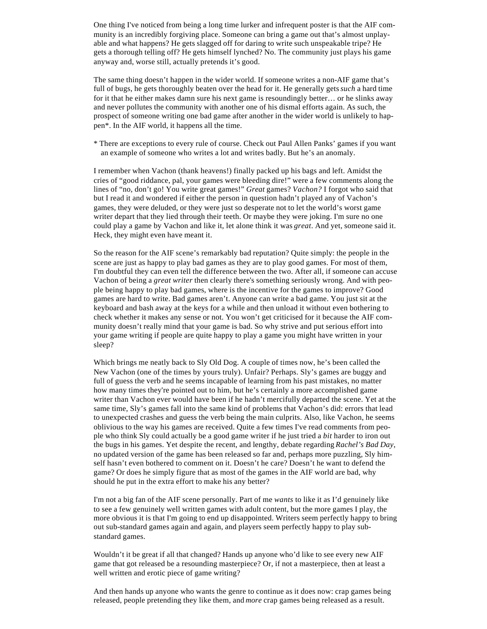One thing I've noticed from being a long time lurker and infrequent poster is that the AIF community is an incredibly forgiving place. Someone can bring a game out that's almost unplayable and what happens? He gets slagged off for daring to write such unspeakable tripe? He gets a thorough telling off? He gets himself lynched? No. The community just plays his game anyway and, worse still, actually pretends it's good.

The same thing doesn't happen in the wider world. If someone writes a non-AIF game that's full of bugs, he gets thoroughly beaten over the head for it. He generally gets *such* a hard time for it that he either makes damn sure his next game is resoundingly better… or he slinks away and never pollutes the community with another one of his dismal efforts again. As such, the prospect of someone writing one bad game after another in the wider world is unlikely to happen\*. In the AIF world, it happens all the time.

\* There are exceptions to every rule of course. Check out Paul Allen Panks' games if you want an example of someone who writes a lot and writes badly. But he's an anomaly.

I remember when Vachon (thank heavens!) finally packed up his bags and left. Amidst the cries of "good riddance, pal, your games were bleeding dire!" were a few comments along the lines of "no, don't go! You write great games!" *Great* games? *Vachon?* I forgot who said that but I read it and wondered if either the person in question hadn't played any of Vachon's games, they were deluded, or they were just so desperate not to let the world's worst game writer depart that they lied through their teeth. Or maybe they were joking. I'm sure no one could play a game by Vachon and like it, let alone think it was *great*. And yet, someone said it. Heck, they might even have meant it.

So the reason for the AIF scene's remarkably bad reputation? Quite simply: the people in the scene are just as happy to play bad games as they are to play good games. For most of them, I'm doubtful they can even tell the difference between the two. After all, if someone can accuse Vachon of being a *great writer* then clearly there's something seriously wrong. And with people being happy to play bad games, where is the incentive for the games to improve? Good games are hard to write. Bad games aren't. Anyone can write a bad game. You just sit at the keyboard and bash away at the keys for a while and then unload it without even bothering to check whether it makes any sense or not. You won't get criticised for it because the AIF community doesn't really mind that your game is bad. So why strive and put serious effort into your game writing if people are quite happy to play a game you might have written in your sleep?

Which brings me neatly back to Sly Old Dog. A couple of times now, he's been called the New Vachon (one of the times by yours truly). Unfair? Perhaps. Sly's games are buggy and full of guess the verb and he seems incapable of learning from his past mistakes, no matter how many times they're pointed out to him, but he's certainly a more accomplished game writer than Vachon ever would have been if he hadn't mercifully departed the scene. Yet at the same time, Sly's games fall into the same kind of problems that Vachon's did: errors that lead to unexpected crashes and guess the verb being the main culprits. Also, like Vachon, he seems oblivious to the way his games are received. Quite a few times I've read comments from people who think Sly could actually be a good game writer if he just tried a *bit* harder to iron out the bugs in his games. Yet despite the recent, and lengthy, debate regarding *Rachel's Bad Day*, no updated version of the game has been released so far and, perhaps more puzzling, Sly himself hasn't even bothered to comment on it. Doesn't he care? Doesn't he want to defend the game? Or does he simply figure that as most of the games in the AIF world are bad, why should he put in the extra effort to make his any better?

I'm not a big fan of the AIF scene personally. Part of me *wants* to like it as I'd genuinely like to see a few genuinely well written games with adult content, but the more games I play, the more obvious it is that I'm going to end up disappointed. Writers seem perfectly happy to bring out sub-standard games again and again, and players seem perfectly happy to play substandard games.

Wouldn't it be great if all that changed? Hands up anyone who'd like to see every new AIF game that got released be a resounding masterpiece? Or, if not a masterpiece, then at least a well written and erotic piece of game writing?

And then hands up anyone who wants the genre to continue as it does now: crap games being released, people pretending they like them, and *more* crap games being released as a result.